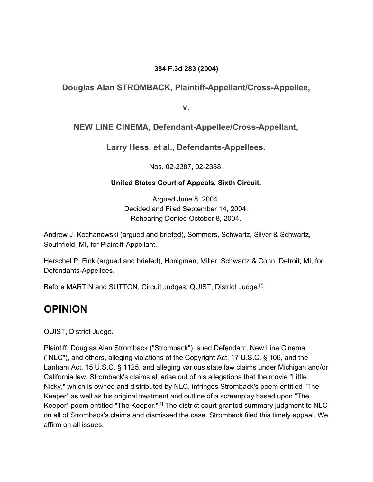### **384 F.3d 283 (2004)**

### **Douglas Alan STROMBACK, Plaintiff-Appellant/Cross-Appellee,**

**v.**

### **NEW LINE CINEMA, Defendant-Appellee/Cross-Appellant,**

**Larry Hess, et al., Defendants-Appellees.**

Nos. 02-2387, 02-2388.

### **United States Court of Appeals, Sixth Circuit.**

Argued June 8, 2004. Decided and Filed September 14, 2004. Rehearing Denied October 8, 2004.

Andrew J. Kochanowski (argued and briefed), Sommers, Schwartz, Silver & Schwartz, Southfield, MI, for Plaintiff-Appellant.

Herschel P. Fink (argued and briefed), Honigman, Miller, Schwartz & Cohn, Detroit, MI, for Defendants-Appellees.

Before MARTIN and SUTTON, Circuit Judges; QUIST, District Judge. [\*]

### **OPINION**

QUIST, District Judge.

Plaintiff, Douglas Alan Stromback ("Stromback"), sued Defendant, New Line Cinema ("NLC"), and others, alleging violations of the Copyright Act, 17 U.S.C. § 106, and the Lanham Act, 15 U.S.C. § 1125, and alleging various state law claims under Michigan and/or California law. Stromback's claims all arise out of his allegations that the movie "Little Nicky," which is owned and distributed by NLC, infringes Stromback's poem entitled "The Keeper" as well as his original treatment and outline of a screenplay based upon "The Keeper" poem entitled "The Keeper."<sup>[1]</sup> The district court granted summary judgment to NLC on all of Stromback's claims and dismissed the case. Stromback filed this timely appeal. We affirm on all issues.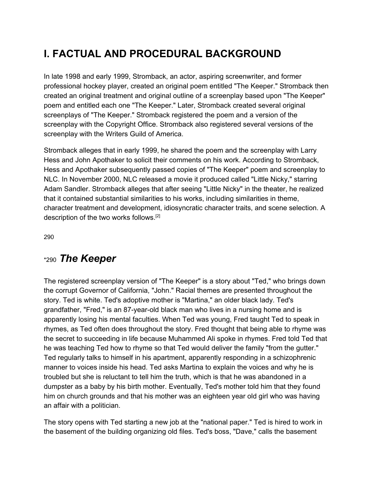# **I. FACTUAL AND PROCEDURAL BACKGROUND**

In late 1998 and early 1999, Stromback, an actor, aspiring screenwriter, and former professional hockey player, created an original poem entitled "The Keeper." Stromback then created an original treatment and original outline of a screenplay based upon "The Keeper" poem and entitled each one "The Keeper." Later, Stromback created several original screenplays of "The Keeper." Stromback registered the poem and a version of the screenplay with the Copyright Office. Stromback also registered several versions of the screenplay with the Writers Guild of America.

Stromback alleges that in early 1999, he shared the poem and the screenplay with Larry Hess and John Apothaker to solicit their comments on his work. According to Stromback, Hess and Apothaker subsequently passed copies of "The Keeper" poem and screenplay to NLC. In November 2000, NLC released a movie it produced called "Little Nicky," starring Adam Sandler. Stromback alleges that after seeing "Little Nicky" in the theater, he realized that it contained substantial similarities to his works, including similarities in theme, character treatment and development, idiosyncratic character traits, and scene selection. A description of the two works follows.<sup>[2]</sup>

29[0](https://scholar.google.com/scholar_case?case=9947506304432034789&q=seven+new+line+cinema&hl=en&as_sdt=6,33#p290)

### \*290 *The Keeper*

The registered screenplay version of "The Keeper" is a story about "Ted," who brings down the corrupt Governor of California, "John." Racial themes are presented throughout the story. Ted is white. Ted's adoptive mother is "Martina," an older black lady. Ted's grandfather, "Fred," is an 87-year-old black man who lives in a nursing home and is apparently losing his mental faculties. When Ted was young, Fred taught Ted to speak in rhymes, as Ted often does throughout the story. Fred thought that being able to rhyme was the secret to succeeding in life because Muhammed Ali spoke in rhymes. Fred told Ted that he was teaching Ted how to rhyme so that Ted would deliver the family "from the gutter." Ted regularly talks to himself in his apartment, apparently responding in a schizophrenic manner to voices inside his head. Ted asks Martina to explain the voices and why he is troubled but she is reluctant to tell him the truth, which is that he was abandoned in a dumpster as a baby by his birth mother. Eventually, Ted's mother told him that they found him on church grounds and that his mother was an eighteen year old girl who was having an affair with a politician.

The story opens with Ted starting a new job at the "national paper." Ted is hired to work in the basement of the building organizing old files. Ted's boss, "Dave," calls the basement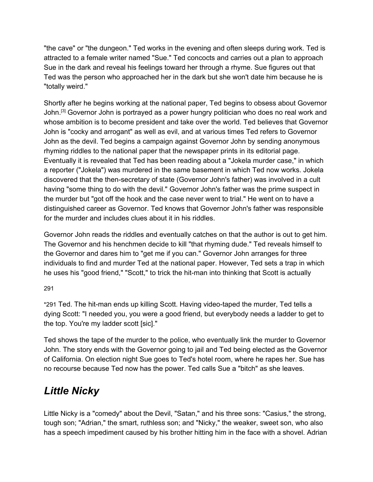"the cave" or "the dungeon." Ted works in the evening and often sleeps during work. Ted is attracted to a female writer named "Sue." Ted concocts and carries out a plan to approach Sue in the dark and reveal his feelings toward her through a rhyme. Sue figures out that Ted was the person who approached her in the dark but she won't date him because he is "totally weird."

Shortly after he begins working at the national paper, Ted begins to obsess about Governor John.<sup>[3]</sup> Governor John is portrayed as a power hungry politician who does no real work and whose ambition is to become president and take over the world. Ted believes that Governor John is "cocky and arrogant" as well as evil, and at various times Ted refers to Governor John as the devil. Ted begins a campaign against Governor John by sending anonymous rhyming riddles to the national paper that the newspaper prints in its editorial page. Eventually it is revealed that Ted has been reading about a "Jokela murder case," in which a reporter ("Jokela") was murdered in the same basement in which Ted now works. Jokela discovered that the then-secretary of state (Governor John's father) was involved in a cult having "some thing to do with the devil." Governor John's father was the prime suspect in the murder but "got off the hook and the case never went to trial." He went on to have a distinguished career as Governor. Ted knows that Governor John's father was responsible for the murder and includes clues about it in his riddles.

Governor John reads the riddles and eventually catches on that the author is out to get him. The Governor and his henchmen decide to kill "that rhyming dude." Ted reveals himself to the Governor and dares him to "get me if you can." Governor John arranges for three individuals to find and murder Ted at the national paper. However, Ted sets a trap in which he uses his "good friend," "Scott," to trick the hit-man into thinking that Scott is actually

29[1](https://scholar.google.com/scholar_case?case=9947506304432034789&q=seven+new+line+cinema&hl=en&as_sdt=6,33#p291)

\*291 Ted. The hit-man ends up killing Scott. Having video-taped the murder, Ted tells a dying Scott: "I needed you, you were a good friend, but everybody needs a ladder to get to the top. You're my ladder scott [sic]."

Ted shows the tape of the murder to the police, who eventually link the murder to Governor John. The story ends with the Governor going to jail and Ted being elected as the Governor of California. On election night Sue goes to Ted's hotel room, where he rapes her. Sue has no recourse because Ted now has the power. Ted calls Sue a "bitch" as she leaves.

# *Little Nicky*

Little Nicky is a "comedy" about the Devil, "Satan," and his three sons: "Casius," the strong, tough son; "Adrian," the smart, ruthless son; and "Nicky," the weaker, sweet son, who also has a speech impediment caused by his brother hitting him in the face with a shovel. Adrian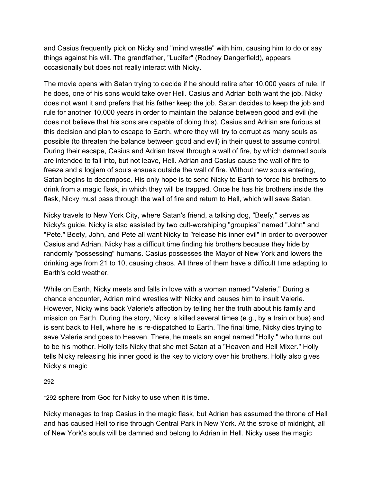and Casius frequently pick on Nicky and "mind wrestle" with him, causing him to do or say things against his will. The grandfather, "Lucifer" (Rodney Dangerfield), appears occasionally but does not really interact with Nicky.

The movie opens with Satan trying to decide if he should retire after 10,000 years of rule. If he does, one of his sons would take over Hell. Casius and Adrian both want the job. Nicky does not want it and prefers that his father keep the job. Satan decides to keep the job and rule for another 10,000 years in order to maintain the balance between good and evil (he does not believe that his sons are capable of doing this). Casius and Adrian are furious at this decision and plan to escape to Earth, where they will try to corrupt as many souls as possible (to threaten the balance between good and evil) in their quest to assume control. During their escape, Casius and Adrian travel through a wall of fire, by which damned souls are intended to fall into, but not leave, Hell. Adrian and Casius cause the wall of fire to freeze and a logjam of souls ensues outside the wall of fire. Without new souls entering, Satan begins to decompose. His only hope is to send Nicky to Earth to force his brothers to drink from a magic flask, in which they will be trapped. Once he has his brothers inside the flask, Nicky must pass through the wall of fire and return to Hell, which will save Satan.

Nicky travels to New York City, where Satan's friend, a talking dog, "Beefy," serves as Nicky's guide. Nicky is also assisted by two cult-worshiping "groupies" named "John" and "Pete." Beefy, John, and Pete all want Nicky to "release his inner evil" in order to overpower Casius and Adrian. Nicky has a difficult time finding his brothers because they hide by randomly "possessing" humans. Casius possesses the Mayor of New York and lowers the drinking age from 21 to 10, causing chaos. All three of them have a difficult time adapting to Earth's cold weather.

While on Earth, Nicky meets and falls in love with a woman named "Valerie." During a chance encounter, Adrian mind wrestles with Nicky and causes him to insult Valerie. However, Nicky wins back Valerie's affection by telling her the truth about his family and mission on Earth. During the story, Nicky is killed several times (e.g., by a train or bus) and is sent back to Hell, where he is re-dispatched to Earth. The final time, Nicky dies trying to save Valerie and goes to Heaven. There, he meets an angel named "Holly," who turns out to be his mother. Holly tells Nicky that she met Satan at a "Heaven and Hell Mixer." Holly tells Nicky releasing his inner good is the key to victory over his brothers. Holly also gives Nicky a magic

#### 29[2](https://scholar.google.com/scholar_case?case=9947506304432034789&q=seven+new+line+cinema&hl=en&as_sdt=6,33#p292)

\*292 sphere from God for Nicky to use when it is time.

Nicky manages to trap Casius in the magic flask, but Adrian has assumed the throne of Hell and has caused Hell to rise through Central Park in New York. At the stroke of midnight, all of New York's souls will be damned and belong to Adrian in Hell. Nicky uses the magic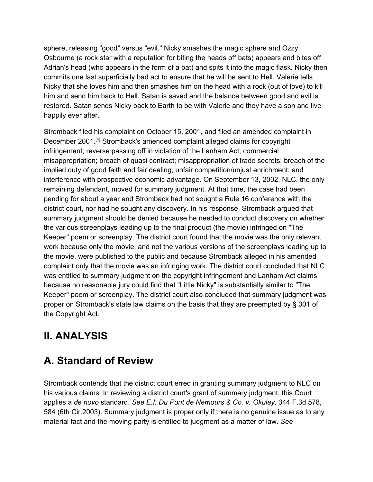sphere, releasing "good" versus "evil." Nicky smashes the magic sphere and Ozzy Osbourne (a rock star with a reputation for biting the heads off bats) appears and bites off Adrian's head (who appears in the form of a bat) and spits it into the magic flask. Nicky then commits one last superficially bad act to ensure that he will be sent to Hell. Valerie tells Nicky that she loves him and then smashes him on the head with a rock (out of love) to kill him and send him back to Hell. Satan is saved and the balance between good and evil is restored. Satan sends Nicky back to Earth to be with Valerie and they have a son and live happily ever after.

Stromback filed his complaint on October 15, 2001, and filed an amended complaint in December 2001.<sup>[4]</sup> Stromback's amended complaint alleged claims for copyright infringement; reverse passing off in violation of the Lanham Act; commercial misappropriation; breach of quasi contract; misappropriation of trade secrets; breach of the implied duty of good faith and fair dealing; unfair competition/unjust enrichment; and interference with prospective economic advantage. On September 13, 2002, NLC, the only remaining defendant, moved for summary judgment. At that time, the case had been pending for about a year and Stromback had not sought a Rule 16 conference with the district court, nor had he sought any discovery. In his response, Stromback argued that summary judgment should be denied because he needed to conduct discovery on whether the various screenplays leading up to the final product (the movie) infringed on "The Keeper" poem or screenplay. The district court found that the movie was the only relevant work because only the movie, and not the various versions of the screenplays leading up to the movie, were published to the public and because Stromback alleged in his amended complaint only that the movie was an infringing work. The district court concluded that NLC was entitled to summary judgment on the copyright infringement and Lanham Act claims because no reasonable jury could find that "Little Nicky" is substantially similar to "The Keeper" poem or screenplay. The district court also concluded that summary judgment was proper on Stromback's state law claims on the basis that they are preempted by § 301 of the Copyright Act.

# **II. ANALYSIS**

# **A. Standard of Review**

Stromback contends that the district court erred in granting summary judgment to NLC on his various claims. In reviewing a district court's grant of summary judgment, this Court applies a *de novo* standard. *See E.I. Du Pont de Nemours & Co. v. Okuley,* 344 F.3d 578, 584 (6th Cir.2003). Summary judgment is proper only if there is no genuine issue as to any material fact and the moving party is entitled to judgment as a matter of law. *See*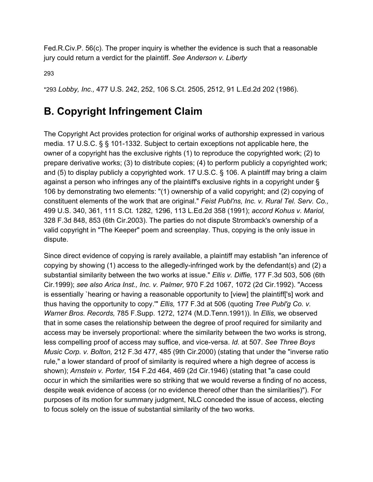Fed.R.Civ.P. 56(c). The proper inquiry is whether the evidence is such that a reasonable jury could return a verdict for the plaintiff. *See Anderson v. Liberty*

29[3](https://scholar.google.com/scholar_case?case=9947506304432034789&q=seven+new+line+cinema&hl=en&as_sdt=6,33#p293)

\*293 *Lobby, Inc.,* 477 U.S. 242, 252, 106 S.Ct. 2505, 2512, 91 L.Ed.2d 202 (1986).

## **B. Copyright Infringement Claim**

The Copyright Act provides protection for original works of authorship expressed in various media. 17 U.S.C. § § 101-1332. Subject to certain exceptions not applicable here, the owner of a copyright has the exclusive rights (1) to reproduce the copyrighted work; (2) to prepare derivative works; (3) to distribute copies; (4) to perform publicly a copyrighted work; and (5) to display publicly a copyrighted work. 17 U.S.C. § 106. A plaintiff may bring a claim against a person who infringes any of the plaintiff's exclusive rights in a copyright under § 106 by demonstrating two elements: "(1) ownership of a valid copyright; and (2) copying of constituent elements of the work that are original." *Feist Publ'ns, Inc. v. Rural Tel. Serv. Co.,* 499 U.S. 340, 361, 111 S.Ct. 1282, 1296, 113 L.Ed.2d 358 (1991); *accord Kohus v. Mariol,* 328 F.3d 848, 853 (6th Cir.2003). The parties do not dispute Stromback's ownership of a valid copyright in "The Keeper" poem and screenplay. Thus, copying is the only issue in dispute.

Since direct evidence of copying is rarely available, a plaintiff may establish "an inference of copying by showing (1) access to the allegedly-infringed work by the defendant(s) and (2) a substantial similarity between the two works at issue." *Ellis v. Diffie,* 177 F.3d 503, 506 (6th Cir.1999); *see also Arica Inst., Inc. v. Palmer,* 970 F.2d 1067, 1072 (2d Cir.1992). "Access is essentially `hearing or having a reasonable opportunity to [view] the plaintiff['s] work and thus having the opportunity to copy.'" *Ellis,* 177 F.3d at 506 (quoting *Tree Publ'g Co. v. Warner Bros. Records,* 785 F.Supp. 1272, 1274 (M.D.Tenn.1991)). In *Ellis,* we observed that in some cases the relationship between the degree of proof required for similarity and access may be inversely proportional: where the similarity between the two works is strong, less compelling proof of access may suffice, and vice-versa. *Id.* at 507. *See Three Boys Music Corp. v. Bolton,* 212 F.3d 477, 485 (9th Cir.2000) (stating that under the "inverse ratio rule," a lower standard of proof of similarity is required where a high degree of access is shown); *Arnstein v. Porter,* 154 F.2d 464, 469 (2d Cir.1946) (stating that "a case could occur in which the similarities were so striking that we would reverse a finding of no access, despite weak evidence of access (or no evidence thereof other than the similarities)"). For purposes of its motion for summary judgment, NLC conceded the issue of access, electing to focus solely on the issue of substantial similarity of the two works.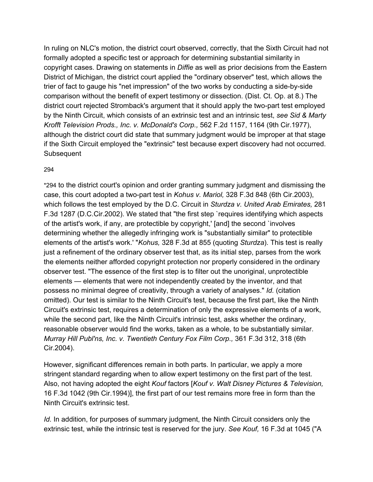In ruling on NLC's motion, the district court observed, correctly, that the Sixth Circuit had not formally adopted a specific test or approach for determining substantial similarity in copyright cases. Drawing on statements in *Diffie* as well as prior decisions from the Eastern District of Michigan, the district court applied the "ordinary observer" test, which allows the trier of fact to gauge his "net impression" of the two works by conducting a side-by-side comparison without the benefit of expert testimony or dissection. (Dist. Ct. Op. at 8.) The district court rejected Stromback's argument that it should apply the two-part test employed by the Ninth Circuit, which consists of an extrinsic test and an intrinsic test, *see Sid & Marty Krofft Television Prods., Inc. v. McDonald's Corp.,* 562 F.2d 1157, 1164 (9th Cir.1977), although the district court did state that summary judgment would be improper at that stage if the Sixth Circuit employed the "extrinsic" test because expert discovery had not occurred. **Subsequent** 

#### 29[4](https://scholar.google.com/scholar_case?case=9947506304432034789&q=seven+new+line+cinema&hl=en&as_sdt=6,33#p294)

\*294 to the district court's opinion and order granting summary judgment and dismissing the case, this court adopted a two-part test in *Kohus v. Mariol,* 328 F.3d 848 (6th Cir.2003), which follows the test employed by the D.C. Circuit in *Sturdza v. United Arab Emirates,* 281 F.3d 1287 (D.C.Cir.2002). We stated that "the first step `requires identifying which aspects of the artist's work, if any, are protectible by copyright,' [and] the second `involves determining whether the allegedly infringing work is "substantially similar" to protectible elements of the artist's work.' "*Kohus,* 328 F.3d at 855 (quoting *Sturdza*). This test is really just a refinement of the ordinary observer test that, as its initial step, parses from the work the elements neither afforded copyright protection nor properly considered in the ordinary observer test. "The essence of the first step is to filter out the unoriginal, unprotectible elements — elements that were not independently created by the inventor, and that possess no minimal degree of creativity, through a variety of analyses." *Id.* (citation omitted). Our test is similar to the Ninth Circuit's test, because the first part, like the Ninth Circuit's extrinsic test, requires a determination of only the expressive elements of a work, while the second part, like the Ninth Circuit's intrinsic test, asks whether the ordinary, reasonable observer would find the works, taken as a whole, to be substantially similar. *Murray Hill Publ'ns, Inc. v. Twentieth Century Fox Film Corp.,* 361 F.3d 312, 318 (6th Cir.2004).

However, significant differences remain in both parts. In particular, we apply a more stringent standard regarding when to allow expert testimony on the first part of the test. Also, not having adopted the eight *Kouf* factors [*Kouf v. Walt Disney Pictures & Television,* 16 F.3d 1042 (9th Cir.1994)], the first part of our test remains more free in form than the Ninth Circuit's extrinsic test.

*Id.* In addition, for purposes of summary judgment, the Ninth Circuit considers only the extrinsic test, while the intrinsic test is reserved for the jury. *See Kouf,* 16 F.3d at 1045 ("A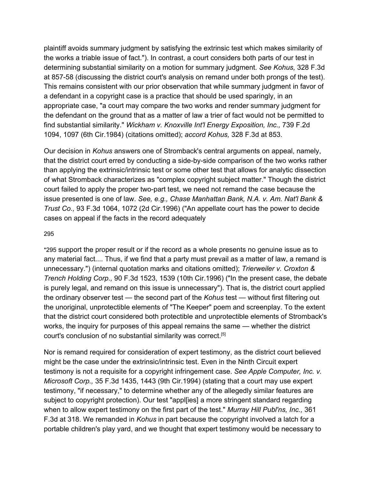plaintiff avoids summary judgment by satisfying the extrinsic test which makes similarity of the works a triable issue of fact."). In contrast, a court considers both parts of our test in determining substantial similarity on a motion for summary judgment. *See Kohus,* 328 F.3d at 857-58 (discussing the district court's analysis on remand under both prongs of the test). This remains consistent with our prior observation that while summary judgment in favor of a defendant in a copyright case is a practice that should be used sparingly, in an appropriate case, "a court may compare the two works and render summary judgment for the defendant on the ground that as a matter of law a trier of fact would not be permitted to find substantial similarity." *Wickham v. Knoxville Int'l Energy Exposition, Inc.,* 739 F.2d 1094, 1097 (6th Cir.1984) (citations omitted); *accord Kohus,* 328 F.3d at 853.

Our decision in *Kohus* answers one of Stromback's central arguments on appeal, namely, that the district court erred by conducting a side-by-side comparison of the two works rather than applying the extrinsic/intrinsic test or some other test that allows for analytic dissection of what Stromback characterizes as "complex copyright subject matter." Though the district court failed to apply the proper two-part test, we need not remand the case because the issue presented is one of law. *See, e.g., Chase Manhattan Bank, N.A. v. Am. Nat'l Bank & Trust Co.,* 93 F.3d 1064, 1072 (2d Cir.1996) ("An appellate court has the power to decide cases on appeal if the facts in the record adequately

#### 29[5](https://scholar.google.com/scholar_case?case=9947506304432034789&q=seven+new+line+cinema&hl=en&as_sdt=6,33#p295)

\*295 support the proper result or if the record as a whole presents no genuine issue as to any material fact.... Thus, if we find that a party must prevail as a matter of law, a remand is unnecessary.") (internal quotation marks and citations omitted); *Trierweiler v. Croxton & Trench Holding Corp.,* 90 F.3d 1523, 1539 (10th Cir.1996) ("In the present case, the debate is purely legal, and remand on this issue is unnecessary"). That is, the district court applied the ordinary observer test — the second part of the *Kohus* test — without first filtering out the unoriginal, unprotectible elements of "The Keeper" poem and screenplay. To the extent that the district court considered both protectible and unprotectible elements of Stromback's works, the inquiry for purposes of this appeal remains the same — whether the district court's conclusion of no substantial similarity was correct. [5]

Nor is remand required for consideration of expert testimony, as the district court believed might be the case under the extrinsic/intrinsic test. Even in the Ninth Circuit expert testimony is not a requisite for a copyright infringement case. *See Apple Computer, Inc. v. Microsoft Corp.,* 35 F.3d 1435, 1443 (9th Cir.1994) (stating that a court may use expert testimony, "if necessary," to determine whether any of the allegedly similar features are subject to copyright protection). Our test "appl[ies] a more stringent standard regarding when to allow expert testimony on the first part of the test." *Murray Hill Publ'ns, Inc.,* 361 F.3d at 318. We remanded in *Kohus* in part because the copyright involved a latch for a portable children's play yard, and we thought that expert testimony would be necessary to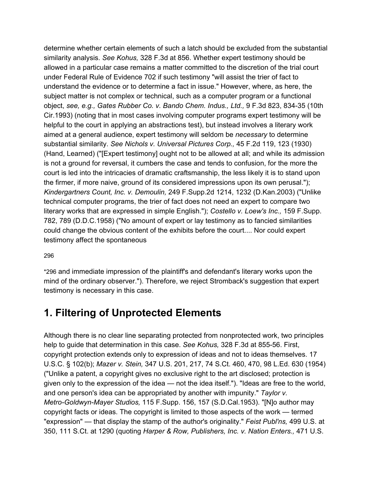determine whether certain elements of such a latch should be excluded from the substantial similarity analysis. *See Kohus,* 328 F.3d at 856. Whether expert testimony should be allowed in a particular case remains a matter committed to the discretion of the trial court under Federal Rule of Evidence 702 if such testimony "will assist the trier of fact to understand the evidence or to determine a fact in issue." However, where, as here, the subject matter is not complex or technical, such as a computer program or a functional object, *see, e.g., Gates Rubber Co. v. Bando Chem. Indus., Ltd.,* 9 F.3d 823, 834-35 (10th Cir.1993) (noting that in most cases involving computer programs expert testimony will be helpful to the court in applying an abstractions test), but instead involves a literary work aimed at a general audience, expert testimony will seldom be *necessary* to determine substantial similarity. *See Nichols v. Universal Pictures Corp.,* 45 F.2d 119, 123 (1930) (Hand, Learned) ("[Expert testimony] ought not to be allowed at all; and while its admission is not a ground for reversal, it cumbers the case and tends to confusion, for the more the court is led into the intricacies of dramatic craftsmanship, the less likely it is to stand upon the firmer, if more naive, ground of its considered impressions upon its own perusal."); *Kindergartners Count, Inc. v. Demoulin,* 249 F.Supp.2d 1214, 1232 (D.Kan.2003) ("Unlike technical computer programs, the trier of fact does not need an expert to compare two literary works that are expressed in simple English."); *Costello v. Loew's Inc.,* 159 F.Supp. 782, 789 (D.D.C.1958) ("No amount of expert or lay testimony as to fancied similarities could change the obvious content of the exhibits before the court.... Nor could expert testimony affect the spontaneous

#### 29[6](https://scholar.google.com/scholar_case?case=9947506304432034789&q=seven+new+line+cinema&hl=en&as_sdt=6,33#p296)

\*296 and immediate impression of the plaintiff's and defendant's literary works upon the mind of the ordinary observer."). Therefore, we reject Stromback's suggestion that expert testimony is necessary in this case.

### **1. Filtering of Unprotected Elements**

Although there is no clear line separating protected from nonprotected work, two principles help to guide that determination in this case. *See Kohus,* 328 F.3d at 855-56. First, copyright protection extends only to expression of ideas and not to ideas themselves. 17 U.S.C. § 102(b); *Mazer v. Stein,* 347 U.S. 201, 217, 74 S.Ct. 460, 470, 98 L.Ed. 630 (1954) ("Unlike a patent, a copyright gives no exclusive right to the art disclosed; protection is given only to the expression of the idea — not the idea itself."). "Ideas are free to the world, and one person's idea can be appropriated by another with impunity." *Taylor v. Metro-Goldwyn-Mayer Studios,* 115 F.Supp. 156, 157 (S.D.Cal.1953). "[N]o author may copyright facts or ideas. The copyright is limited to those aspects of the work — termed "expression" — that display the stamp of the author's originality." *Feist Publ'ns,* 499 U.S. at 350, 111 S.Ct. at 1290 (quoting *Harper & Row, Publishers, Inc. v. Nation Enters.,* 471 U.S.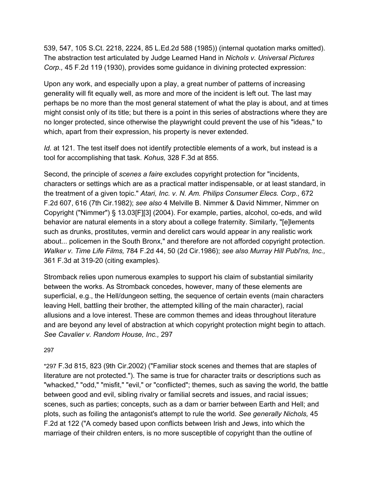539, 547, 105 S.Ct. 2218, 2224, 85 L.Ed.2d 588 (1985)) (internal quotation marks omitted). The abstraction test articulated by Judge Learned Hand in *Nichols v. Universal Pictures Corp.,* 45 F.2d 119 (1930), provides some guidance in divining protected expression:

Upon any work, and especially upon a play, a great number of patterns of increasing generality will fit equally well, as more and more of the incident is left out. The last may perhaps be no more than the most general statement of what the play is about, and at times might consist only of its title; but there is a point in this series of abstractions where they are no longer protected, since otherwise the playwright could prevent the use of his "ideas," to which, apart from their expression, his property is never extended.

*Id.* at 121. The test itself does not identify protectible elements of a work, but instead is a tool for accomplishing that task. *Kohus,* 328 F.3d at 855.

Second, the principle of *scenes a faire* excludes copyright protection for "incidents, characters or settings which are as a practical matter indispensable, or at least standard, in the treatment of a given topic." *Atari, Inc. v. N. Am. Philips Consumer Elecs. Corp.,* 672 F.2d 607, 616 (7th Cir.1982); *see also* 4 Melville B. Nimmer & David Nimmer, Nimmer on Copyright ("Nimmer") § 13.03[F][3] (2004). For example, parties, alcohol, co-eds, and wild behavior are natural elements in a story about a college fraternity. Similarly, "[e]lements such as drunks, prostitutes, vermin and derelict cars would appear in any realistic work about... policemen in the South Bronx," and therefore are not afforded copyright protection. *Walker v. Time Life Films,* 784 F.2d 44, 50 (2d Cir.1986); *see also Murray Hill Publ'ns, Inc.,* 361 F.3d at 319-20 (citing examples).

Stromback relies upon numerous examples to support his claim of substantial similarity between the works. As Stromback concedes, however, many of these elements are superficial, e.g., the Hell/dungeon setting, the sequence of certain events (main characters leaving Hell, battling their brother, the attempted killing of the main character), racial allusions and a love interest. These are common themes and ideas throughout literature and are beyond any level of abstraction at which copyright protection might begin to attach. *See Cavalier v. Random House, Inc.,* 297

#### 29[7](https://scholar.google.com/scholar_case?case=9947506304432034789&q=seven+new+line+cinema&hl=en&as_sdt=6,33#p297)

\*297 F.3d 815, 823 (9th Cir.2002) ("Familiar stock scenes and themes that are staples of literature are not protected."). The same is true for character traits or descriptions such as "whacked," "odd," "misfit," "evil," or "conflicted"; themes, such as saving the world, the battle between good and evil, sibling rivalry or familial secrets and issues, and racial issues; scenes, such as parties; concepts, such as a dam or barrier between Earth and Hell; and plots, such as foiling the antagonist's attempt to rule the world. *See generally Nichols,* 45 F.2d at 122 ("A comedy based upon conflicts between Irish and Jews, into which the marriage of their children enters, is no more susceptible of copyright than the outline of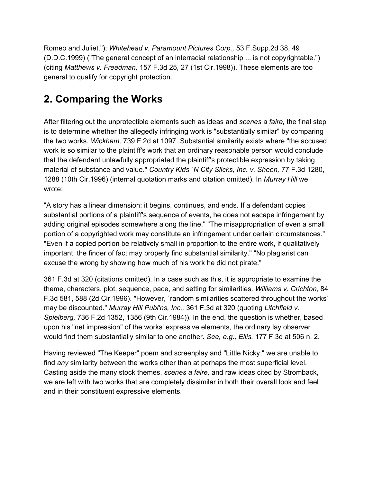Romeo and Juliet."); *Whitehead v. Paramount Pictures Corp.,* 53 F.Supp.2d 38, 49 (D.D.C.1999) ("The general concept of an interracial relationship ... is not copyrightable.") (citing *Matthews v. Freedman,* 157 F.3d 25, 27 (1st Cir.1998)). These elements are too general to qualify for copyright protection.

# **2. Comparing the Works**

After filtering out the unprotectible elements such as ideas and *scenes a faire,* the final step is to determine whether the allegedly infringing work is "substantially similar" by comparing the two works. *Wickham,* 739 F.2d at 1097. Substantial similarity exists where "the accused work is so similar to the plaintiff's work that an ordinary reasonable person would conclude that the defendant unlawfully appropriated the plaintiff's protectible expression by taking material of substance and value." *Country Kids `N City Slicks, Inc. v. Sheen,* 77 F.3d 1280, 1288 (10th Cir.1996) (internal quotation marks and citation omitted). In *Murray Hill* we wrote:

"A story has a linear dimension: it begins, continues, and ends. If a defendant copies substantial portions of a plaintiff's sequence of events, he does not escape infringement by adding original episodes somewhere along the line." "The misappropriation of even a small portion of a copyrighted work may constitute an infringement under certain circumstances." "Even if a copied portion be relatively small in proportion to the entire work, if qualitatively important, the finder of fact may properly find substantial similarity." "No plagiarist can excuse the wrong by showing how much of his work he did not pirate."

361 F.3d at 320 (citations omitted). In a case such as this, it is appropriate to examine the theme, characters, plot, sequence, pace, and setting for similarities. *Williams v. Crichton,* 84 F.3d 581, 588 (2d Cir.1996). "However, `random similarities scattered throughout the works' may be discounted." *Murray Hill Publ'ns, Inc.,* 361 F.3d at 320 (quoting *Litchfield v. Spielberg,* 736 F.2d 1352, 1356 (9th Cir.1984)). In the end, the question is whether, based upon his "net impression" of the works' expressive elements, the ordinary lay observer would find them substantially similar to one another. *See, e.g., Ellis,* 177 F.3d at 506 n. 2.

Having reviewed "The Keeper" poem and screenplay and "Little Nicky," we are unable to find *any* similarity between the works other than at perhaps the most superficial level. Casting aside the many stock themes, *scenes a faire,* and raw ideas cited by Stromback, we are left with two works that are completely dissimilar in both their overall look and feel and in their constituent expressive elements.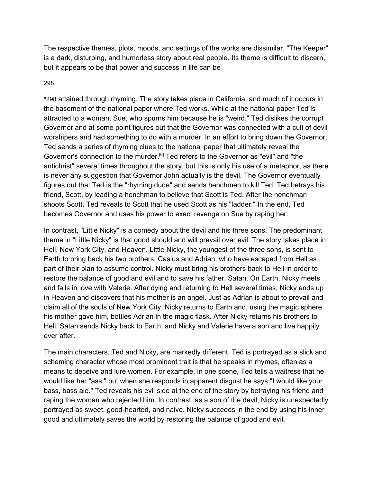The respective themes, plots, moods, and settings of the works are dissimilar. "The Keeper" is a dark, disturbing, and humorless story about real people. Its theme is difficult to discern, but it appears to be that power and success in life can be

#### 29[8](https://scholar.google.com/scholar_case?case=9947506304432034789&q=seven+new+line+cinema&hl=en&as_sdt=6,33#p298)

\*298 attained through rhyming. The story takes place in California, and much of it occurs in the basement of the national paper where Ted works. While at the national paper Ted is attracted to a woman, Sue, who spurns him because he is "weird." Ted dislikes the corrupt Governor and at some point figures out that the Governor was connected with a cult of devil worshipers and had something to do with a murder. In an effort to bring down the Governor, Ted sends a series of rhyming clues to the national paper that ultimately reveal the Governor's connection to the murder.<sup>[6]</sup> Ted refers to the Governor as "evil" and "the antichrist" several times throughout the story, but this is only his use of a metaphor, as there is never any suggestion that Governor John actually is the devil. The Governor eventually figures out that Ted is the "rhyming dude" and sends henchmen to kill Ted. Ted betrays his friend, Scott, by leading a henchman to believe that Scott is Ted. After the henchman shoots Scott, Ted reveals to Scott that he used Scott as his "ladder." In the end, Ted becomes Governor and uses his power to exact revenge on Sue by raping her.

In contrast, "Little Nicky" is a comedy about the devil and his three sons. The predominant theme in "Little Nicky" is that good should and will prevail over evil. The story takes place in Hell, New York City, and Heaven. Little Nicky, the youngest of the three sons, is sent to Earth to bring back his two brothers, Casius and Adrian, who have escaped from Hell as part of their plan to assume control. Nicky must bring his brothers back to Hell in order to restore the balance of good and evil and to save his father, Satan. On Earth, Nicky meets and falls in love with Valerie. After dying and returning to Hell several times, Nicky ends up in Heaven and discovers that his mother is an angel. Just as Adrian is about to prevail and claim all of the souls of New York City, Nicky returns to Earth and, using the magic sphere his mother gave him, bottles Adrian in the magic flask. After Nicky returns his brothers to Hell, Satan sends Nicky back to Earth, and Nicky and Valerie have a son and live happily ever after.

The main characters, Ted and Nicky, are markedly different. Ted is portrayed as a slick and scheming character whose most prominent trait is that he speaks in rhymes, often as a means to deceive and lure women. For example, in one scene, Ted tells a waitress that he would like her "ass," but when she responds in apparent disgust he says "I would like your bass, bass ale." Ted reveals his evil side at the end of the story by betraying his friend and raping the woman who rejected him. In contrast, as a son of the devil, Nicky is unexpectedly portrayed as sweet, good-hearted, and naive. Nicky succeeds in the end by using his inner good and ultimately saves the world by restoring the balance of good and evil.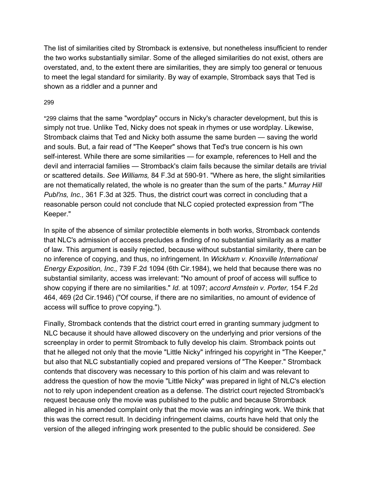The list of similarities cited by Stromback is extensive, but nonetheless insufficient to render the two works substantially similar. Some of the alleged similarities do not exist, others are overstated, and, to the extent there are similarities, they are simply too general or tenuous to meet the legal standard for similarity. By way of example, Stromback says that Ted is shown as a riddler and a punner and

#### 29[9](https://scholar.google.com/scholar_case?case=9947506304432034789&q=seven+new+line+cinema&hl=en&as_sdt=6,33#p299)

\*299 claims that the same "wordplay" occurs in Nicky's character development, but this is simply not true. Unlike Ted, Nicky does not speak in rhymes or use wordplay. Likewise, Stromback claims that Ted and Nicky both assume the same burden — saving the world and souls. But, a fair read of "The Keeper" shows that Ted's true concern is his own self-interest. While there are some similarities — for example, references to Hell and the devil and interracial families — Stromback's claim fails because the similar details are trivial or scattered details. *See Williams,* 84 F.3d at 590-91. "Where as here, the slight similarities are not thematically related, the whole is no greater than the sum of the parts." *Murray Hill Publ'ns, Inc.,* 361 F.3d at 325. Thus, the district court was correct in concluding that a reasonable person could not conclude that NLC copied protected expression from "The Keeper."

In spite of the absence of similar protectible elements in both works, Stromback contends that NLC's admission of access precludes a finding of no substantial similarity as a matter of law. This argument is easily rejected, because without substantial similarity, there can be no inference of copying, and thus, no infringement. In *Wickham v. Knoxville International Energy Exposition, Inc.,* 739 F.2d 1094 (6th Cir.1984), we held that because there was no substantial similarity, access was irrelevant: "No amount of proof of access will suffice to show copying if there are no similarities." *Id.* at 1097; *accord Arnstein v. Porter,* 154 F.2d 464, 469 (2d Cir.1946) ("Of course, if there are no similarities, no amount of evidence of access will suffice to prove copying.").

Finally, Stromback contends that the district court erred in granting summary judgment to NLC because it should have allowed discovery on the underlying and prior versions of the screenplay in order to permit Stromback to fully develop his claim. Stromback points out that he alleged not only that the movie "Little Nicky" infringed his copyright in "The Keeper," but also that NLC substantially copied and prepared versions of "The Keeper." Stromback contends that discovery was necessary to this portion of his claim and was relevant to address the question of how the movie "Little Nicky" was prepared in light of NLC's election not to rely upon independent creation as a defense. The district court rejected Stromback's request because only the movie was published to the public and because Stromback alleged in his amended complaint only that the movie was an infringing work. We think that this was the correct result. In deciding infringement claims, courts have held that only the version of the alleged infringing work presented to the public should be considered. *See*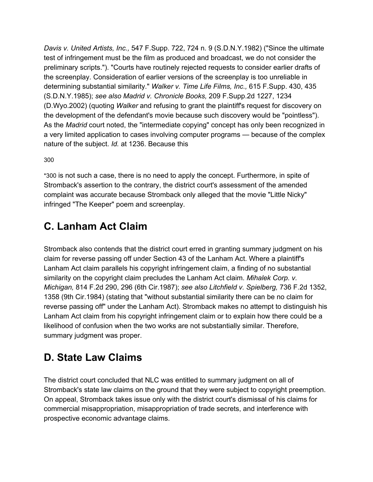*Davis v. United Artists, Inc.,* 547 F.Supp. 722, 724 n. 9 (S.D.N.Y.1982) ("Since the ultimate test of infringement must be the film as produced and broadcast, we do not consider the preliminary scripts."). "Courts have routinely rejected requests to consider earlier drafts of the screenplay. Consideration of earlier versions of the screenplay is too unreliable in determining substantial similarity." *Walker v. Time Life Films, Inc.,* 615 F.Supp. 430, 435 (S.D.N.Y.1985); *see also Madrid v. Chronicle Books,* 209 F.Supp.2d 1227, 1234 (D.Wyo.2002) (quoting *Walker* and refusing to grant the plaintiff's request for discovery on the development of the defendant's movie because such discovery would be "pointless"). As the *Madrid* court noted, the "intermediate copying" concept has only been recognized in a very limited application to cases involving computer programs — because of the complex nature of the subject. *Id.* at 1236. Because this

30[0](https://scholar.google.com/scholar_case?case=9947506304432034789&q=seven+new+line+cinema&hl=en&as_sdt=6,33#p300)

\*300 is not such a case, there is no need to apply the concept. Furthermore, in spite of Stromback's assertion to the contrary, the district court's assessment of the amended complaint was accurate because Stromback only alleged that the movie "Little Nicky" infringed "The Keeper" poem and screenplay.

# **C. Lanham Act Claim**

Stromback also contends that the district court erred in granting summary judgment on his claim for reverse passing off under Section 43 of the Lanham Act. Where a plaintiff's Lanham Act claim parallels his copyright infringement claim, a finding of no substantial similarity on the copyright claim precludes the Lanham Act claim. *Mihalek Corp. v. Michigan,* 814 F.2d 290, 296 (6th Cir.1987); *see also Litchfield v. Spielberg,* 736 F.2d 1352, 1358 (9th Cir.1984) (stating that "without substantial similarity there can be no claim for reverse passing off" under the Lanham Act). Stromback makes no attempt to distinguish his Lanham Act claim from his copyright infringement claim or to explain how there could be a likelihood of confusion when the two works are not substantially similar. Therefore, summary judgment was proper.

# **D. State Law Claims**

The district court concluded that NLC was entitled to summary judgment on all of Stromback's state law claims on the ground that they were subject to copyright preemption. On appeal, Stromback takes issue only with the district court's dismissal of his claims for commercial misappropriation, misappropriation of trade secrets, and interference with prospective economic advantage claims.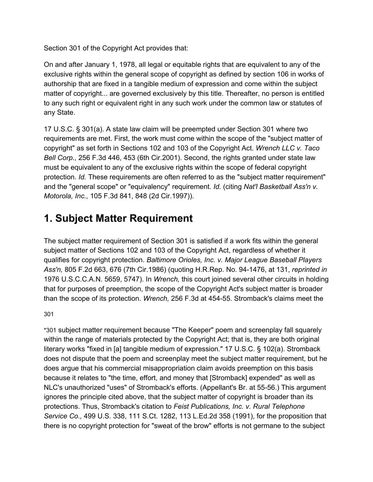Section 301 of the Copyright Act provides that:

On and after January 1, 1978, all legal or equitable rights that are equivalent to any of the exclusive rights within the general scope of copyright as defined by section 106 in works of authorship that are fixed in a tangible medium of expression and come within the subject matter of copyright... are governed exclusively by this title. Thereafter, no person is entitled to any such right or equivalent right in any such work under the common law or statutes of any State.

17 U.S.C. § 301(a). A state law claim will be preempted under Section 301 where two requirements are met. First, the work must come within the scope of the "subject matter of copyright" as set forth in Sections 102 and 103 of the Copyright Act. *Wrench LLC v. Taco Bell Corp.,* 256 F.3d 446, 453 (6th Cir.2001). Second, the rights granted under state law must be equivalent to any of the exclusive rights within the scope of federal copyright protection. *Id.* These requirements are often referred to as the "subject matter requirement" and the "general scope" or "equivalency" requirement. *Id.* (citing *Nat'l Basketball Ass'n v. Motorola, Inc.,* 105 F.3d 841, 848 (2d Cir.1997)).

# **1. Subject Matter Requirement**

The subject matter requirement of Section 301 is satisfied if a work fits within the general subject matter of Sections 102 and 103 of the Copyright Act, regardless of whether it qualifies for copyright protection. *Baltimore Orioles, Inc. v. Major League Baseball Players Ass'n,* 805 F.2d 663, 676 (7th Cir.1986) (quoting H.R.Rep. No. 94-1476, at 131, *reprinted in* 1976 U.S.C.C.A.N. 5659, 5747). In *Wrench,* this court joined several other circuits in holding that for purposes of preemption, the scope of the Copyright Act's subject matter is broader than the scope of its protection. *Wrench,* 256 F.3d at 454-55. Stromback's claims meet the

30[1](https://scholar.google.com/scholar_case?case=9947506304432034789&q=seven+new+line+cinema&hl=en&as_sdt=6,33#p301)

\*301 subject matter requirement because "The Keeper" poem and screenplay fall squarely within the range of materials protected by the Copyright Act; that is, they are both original literary works "fixed in [a] tangible medium of expression." 17 U.S.C. § 102(a). Stromback does not dispute that the poem and screenplay meet the subject matter requirement, but he does argue that his commercial misappropriation claim avoids preemption on this basis because it relates to "the time, effort, and money that [Stromback] expended" as well as NLC's unauthorized "uses" of Stromback's efforts. (Appellant's Br. at 55-56.) This argument ignores the principle cited above, that the subject matter of copyright is broader than its protections. Thus, Stromback's citation to *Feist Publications, Inc. v. Rural Telephone Service Co.,* 499 U.S. 338, 111 S.Ct. 1282, 113 L.Ed.2d 358 (1991), for the proposition that there is no copyright protection for "sweat of the brow" efforts is not germane to the subject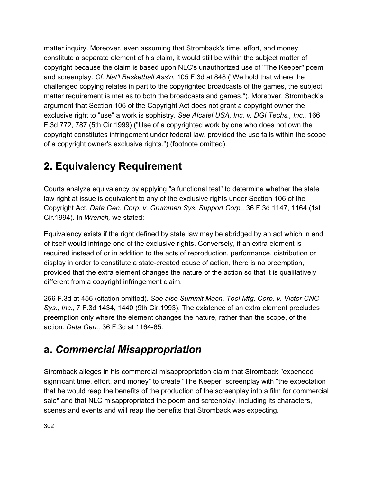matter inquiry. Moreover, even assuming that Stromback's time, effort, and money constitute a separate element of his claim, it would still be within the subject matter of copyright because the claim is based upon NLC's unauthorized use of "The Keeper" poem and screenplay. *Cf. Nat'l Basketball Ass'n,* 105 F.3d at 848 ("We hold that where the challenged copying relates in part to the copyrighted broadcasts of the games, the subject matter requirement is met as to both the broadcasts and games."). Moreover, Stromback's argument that Section 106 of the Copyright Act does not grant a copyright owner the exclusive right to "use" a work is sophistry. *See Alcatel USA, Inc. v. DGI Techs., Inc.,* 166 F.3d 772, 787 (5th Cir.1999) ("Use of a copyrighted work by one who does not own the copyright constitutes infringement under federal law, provided the use falls within the scope of a copyright owner's exclusive rights.") (footnote omitted).

# **2. Equivalency Requirement**

Courts analyze equivalency by applying "a functional test" to determine whether the state law right at issue is equivalent to any of the exclusive rights under Section 106 of the Copyright Act. *Data Gen. Corp. v. Grumman Sys. Support Corp.,* 36 F.3d 1147, 1164 (1st Cir.1994). In *Wrench,* we stated:

Equivalency exists if the right defined by state law may be abridged by an act which in and of itself would infringe one of the exclusive rights. Conversely, if an extra element is required instead of or in addition to the acts of reproduction, performance, distribution or display in order to constitute a state-created cause of action, there is no preemption, provided that the extra element changes the nature of the action so that it is qualitatively different from a copyright infringement claim.

256 F.3d at 456 (citation omitted). *See also Summit Mach. Tool Mfg. Corp. v. Victor CNC Sys., Inc.,* 7 F.3d 1434, 1440 (9th Cir.1993). The existence of an extra element precludes preemption only where the element changes the nature, rather than the scope, of the action. *Data Gen.,* 36 F.3d at 1164-65.

### **a.** *Commercial Misappropriation*

Stromback alleges in his commercial misappropriation claim that Stromback "expended significant time, effort, and money" to create "The Keeper" screenplay with "the expectation that he would reap the benefits of the production of the screenplay into a film for commercial sale" and that NLC misappropriated the poem and screenplay, including its characters, scenes and events and will reap the benefits that Stromback was expecting.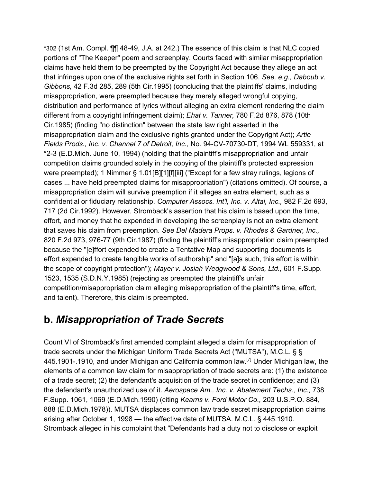\*302 (1st Am. Compl. ¶¶ 48-49, J.A. at 242.) The essence of this claim is that NLC copied portions of "The Keeper" poem and screenplay. Courts faced with similar misappropriation claims have held them to be preempted by the Copyright Act because they allege an act that infringes upon one of the exclusive rights set forth in Section 106. *See, e.g., Daboub v. Gibbons,* 42 F.3d 285, 289 (5th Cir.1995) (concluding that the plaintiffs' claims, including misappropriation, were preempted because they merely alleged wrongful copying, distribution and performance of lyrics without alleging an extra element rendering the claim different from a copyright infringement claim); *Ehat v. Tanner,* 780 F.2d 876, 878 (10th Cir.1985) (finding "no distinction" between the state law right asserted in the misappropriation claim and the exclusive rights granted under the Copyright Act); *Artie Fields Prods., Inc. v. Channel 7 of Detroit, Inc.,* No. 94-CV-70730-DT, 1994 WL 559331, at \*2-3 (E.D.Mich. June 10, 1994) (holding that the plaintiff's misappropriation and unfair competition claims grounded solely in the copying of the plaintiff's protected expression were preempted); 1 Nimmer § 1.01[B][1][f][iii] ("Except for a few stray rulings, legions of cases ... have held preempted claims for misappropriation") (citations omitted). Of course, a misappropriation claim will survive preemption if it alleges an extra element, such as a confidential or fiduciary relationship. *Computer Assocs. Int'l, Inc. v. Altai, Inc.,* 982 F.2d 693, 717 (2d Cir.1992). However, Stromback's assertion that his claim is based upon the time, effort, and money that he expended in developing the screenplay is not an extra element that saves his claim from preemption. *See Del Madera Props. v. Rhodes & Gardner, Inc.,* 820 F.2d 973, 976-77 (9th Cir.1987) (finding the plaintiff's misappropriation claim preempted because the "[e]ffort expended to create a Tentative Map and supporting documents is effort expended to create tangible works of authorship" and "[a]s such, this effort is within the scope of copyright protection"); *Mayer v. Josiah Wedgwood & Sons, Ltd.,* 601 F.Supp. 1523, 1535 (S.D.N.Y.1985) (rejecting as preempted the plaintiff's unfair competition/misappropriation claim alleging misappropriation of the plaintiff's time, effort, and talent). Therefore, this claim is preempted.

### **b.** *Misappropriation of Trade Secrets*

Count VI of Stromback's first amended complaint alleged a claim for misappropriation of trade secrets under the Michigan Uniform Trade Secrets Act ("MUTSA"), M.C.L. § § 445.1901-.1910, and under Michigan and California common law.<sup>[7]</sup> Under Michigan law, the elements of a common law claim for misappropriation of trade secrets are: (1) the existence of a trade secret; (2) the defendant's acquisition of the trade secret in confidence; and (3) the defendant's unauthorized use of it. *Aerospace Am., Inc. v. Abatement Techs., Inc.,* 738 F.Supp. 1061, 1069 (E.D.Mich.1990) (citing *Kearns v. Ford Motor Co.,* 203 U.S.P.Q. 884, 888 (E.D.Mich.1978)). MUTSA displaces common law trade secret misappropriation claims arising after October 1, 1998 — the effective date of MUTSA. M.C.L. § 445.1910. Stromback alleged in his complaint that "Defendants had a duty not to disclose or exploit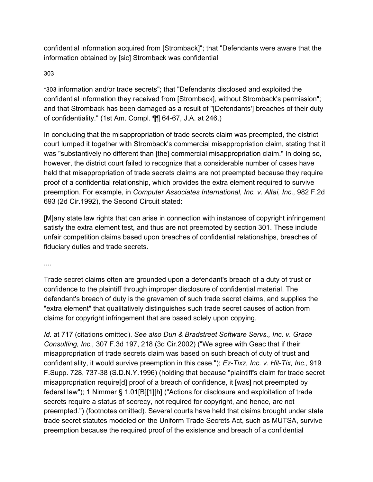confidential information acquired from [Stromback]"; that "Defendants were aware that the information obtained by [sic] Stromback was confidential

### 30[3](https://scholar.google.com/scholar_case?case=9947506304432034789&q=seven+new+line+cinema&hl=en&as_sdt=6,33#p303)

\*303 information and/or trade secrets"; that "Defendants disclosed and exploited the confidential information they received from [Stromback], without Stromback's permission"; and that Stromback has been damaged as a result of "[Defendants'] breaches of their duty of confidentiality." (1st Am. Compl. ¶¶ 64-67, J.A. at 246.)

In concluding that the misappropriation of trade secrets claim was preempted, the district court lumped it together with Stromback's commercial misappropriation claim, stating that it was "substantively no different than [the] commercial misappropriation claim." In doing so, however, the district court failed to recognize that a considerable number of cases have held that misappropriation of trade secrets claims are not preempted because they require proof of a confidential relationship, which provides the extra element required to survive preemption. For example, in *Computer Associates International, Inc. v. Altai, Inc.,* 982 F.2d 693 (2d Cir.1992), the Second Circuit stated:

[M]any state law rights that can arise in connection with instances of copyright infringement satisfy the extra element test, and thus are not preempted by section 301. These include unfair competition claims based upon breaches of confidential relationships, breaches of fiduciary duties and trade secrets.

....

Trade secret claims often are grounded upon a defendant's breach of a duty of trust or confidence to the plaintiff through improper disclosure of confidential material. The defendant's breach of duty is the gravamen of such trade secret claims, and supplies the "extra element" that qualitatively distinguishes such trade secret causes of action from claims for copyright infringement that are based solely upon copying.

*Id.* at 717 (citations omitted). *See also Dun & Bradstreet Software Servs., Inc. v. Grace Consulting, Inc.,* 307 F.3d 197, 218 (3d Cir.2002) ("We agree with Geac that if their misappropriation of trade secrets claim was based on such breach of duty of trust and confidentiality, it would survive preemption in this case."); *Ez-Tixz, Inc. v. Hit-Tix, Inc.,* 919 F.Supp. 728, 737-38 (S.D.N.Y.1996) (holding that because "plaintiff's claim for trade secret misappropriation require[d] proof of a breach of confidence, it [was] not preempted by federal law"); 1 Nimmer § 1.01[B][1][h] ("Actions for disclosure and exploitation of trade secrets require a status of secrecy, not required for copyright, and hence, are not preempted.") (footnotes omitted). Several courts have held that claims brought under state trade secret statutes modeled on the Uniform Trade Secrets Act, such as MUTSA, survive preemption because the required proof of the existence and breach of a confidential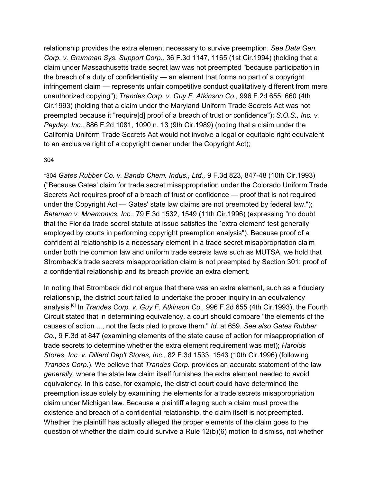relationship provides the extra element necessary to survive preemption. *See Data Gen. Corp. v. Grumman Sys. Support Corp.,* 36 F.3d 1147, 1165 (1st Cir.1994) (holding that a claim under Massachusetts trade secret law was not preempted "because participation in the breach of a duty of confidentiality — an element that forms no part of a copyright infringement claim — represents unfair competitive conduct qualitatively different from mere unauthorized copying"); *Trandes Corp. v. Guy F. Atkinson Co.,* 996 F.2d 655, 660 (4th Cir.1993) (holding that a claim under the Maryland Uniform Trade Secrets Act was not preempted because it "require[d] proof of a breach of trust or confidence"); *S.O.S., Inc. v. Payday, Inc.,* 886 F.2d 1081, 1090 n. 13 (9th Cir.1989) (noting that a claim under the California Uniform Trade Secrets Act would not involve a legal or equitable right equivalent to an exclusive right of a copyright owner under the Copyright Act);

#### 30[4](https://scholar.google.com/scholar_case?case=9947506304432034789&q=seven+new+line+cinema&hl=en&as_sdt=6,33#p304)

\*304 *Gates Rubber Co. v. Bando Chem. Indus., Ltd.,* 9 F.3d 823, 847-48 (10th Cir.1993) ("Because Gates' claim for trade secret misappropriation under the Colorado Uniform Trade Secrets Act requires proof of a breach of trust or confidence — proof that is not required under the Copyright Act — Gates' state law claims are not preempted by federal law."); *Bateman v. Mnemonics, Inc.,* 79 F.3d 1532, 1549 (11th Cir.1996) (expressing "no doubt that the Florida trade secret statute at issue satisfies the `extra element' test generally employed by courts in performing copyright preemption analysis"). Because proof of a confidential relationship is a necessary element in a trade secret misappropriation claim under both the common law and uniform trade secrets laws such as MUTSA, we hold that Stromback's trade secrets misappropriation claim is not preempted by Section 301; proof of a confidential relationship and its breach provide an extra element.

In noting that Stromback did not argue that there was an extra element, such as a fiduciary relationship, the district court failed to undertake the proper inquiry in an equivalency analysis. [8] In *Trandes Corp. v. Guy F. Atkinson Co.,* 996 F.2d 655 (4th Cir.1993), the Fourth Circuit stated that in determining equivalency, a court should compare "the elements of the causes of action ..., not the facts pled to prove them." *Id.* at 659. *See also Gates Rubber Co.,* 9 F.3d at 847 (examining elements of the state cause of action for misappropriation of trade secrets to determine whether the extra element requirement was met); *Harolds Stores, Inc. v. Dillard Dep't Stores, Inc.,* 82 F.3d 1533, 1543 (10th Cir.1996) (following *Trandes Corp.*). We believe that *Trandes Corp.* provides an accurate statement of the law *generally,* where the state law claim itself furnishes the extra element needed to avoid equivalency. In this case, for example, the district court could have determined the preemption issue solely by examining the elements for a trade secrets misappropriation claim under Michigan law. Because a plaintiff alleging such a claim must prove the existence and breach of a confidential relationship, the claim itself is not preempted. Whether the plaintiff has actually alleged the proper elements of the claim goes to the question of whether the claim could survive a Rule 12(b)(6) motion to dismiss, not whether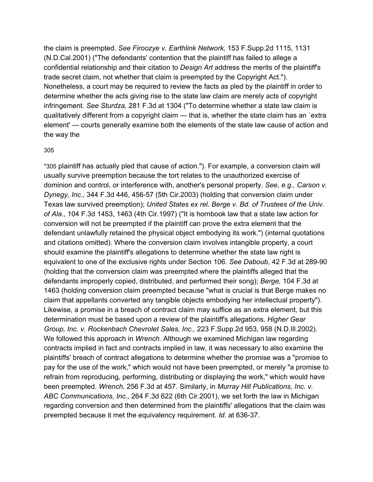the claim is preempted. *See Firoozye v. Earthlink Network,* 153 F.Supp.2d 1115, 1131 (N.D.Cal.2001) ("The defendants' contention that the plaintiff has failed to allege a confidential relationship and their citation to *Design Art* address the merits of the plaintiff's trade secret claim, not whether that claim is preempted by the Copyright Act."). Nonetheless, a court may be required to review the facts as pled by the plaintiff in order to determine whether the acts giving rise to the state law claim are merely acts of copyright infringement. *See Sturdza,* 281 F.3d at 1304 ("To determine whether a state law claim is qualitatively different from a copyright claim — that is, whether the state claim has an `extra element' — courts generally examine both the elements of the state law cause of action and the way the

#### 30[5](https://scholar.google.com/scholar_case?case=9947506304432034789&q=seven+new+line+cinema&hl=en&as_sdt=6,33#p305)

\*305 plaintiff has actually pled that cause of action."). For example, a conversion claim will usually survive preemption because the tort relates to the unauthorized exercise of dominion and control, or interference with, another's personal property. *See, e.g., Carson v. Dynegy, Inc.,* 344 F.3d 446, 456-57 (5th Cir.2003) (holding that conversion claim under Texas law survived preemption); *United States ex rel. Berge v. Bd. of Trustees of the Univ. of Ala.,* 104 F.3d 1453, 1463 (4th Cir.1997) ("It is hornbook law that a state law action for conversion will not be preempted if the plaintiff can prove the extra element that the defendant unlawfully retained the physical object embodying its work.") (internal quotations and citations omitted). Where the conversion claim involves intangible property, a court should examine the plaintiff's allegations to determine whether the state law right is equivalent to one of the exclusive rights under Section 106. *See Daboub,* 42 F.3d at 289-90 (holding that the conversion claim was preempted where the plaintiffs alleged that the defendants improperly copied, distributed, and performed their song); *Berge,* 104 F.3d at 1463 (holding conversion claim preempted because "what is crucial is that Berge makes no claim that appellants converted any tangible objects embodying her intellectual property"). Likewise, a promise in a breach of contract claim may suffice as an extra element, but this determination must be based upon a review of the plaintiff's allegations. *Higher Gear Group, Inc. v. Rockenbach Chevrolet Sales, Inc.,* 223 F.Supp.2d 953, 958 (N.D.Ill.2002). We followed this approach in *Wrench.* Although we examined Michigan law regarding contracts implied in fact and contracts implied in law, it was necessary to also examine the plaintiffs' breach of contract allegations to determine whether the promise was a "promise to pay for the use of the work," which would not have been preempted, or merely "a promise to refrain from reproducing, performing, distributing or displaying the work," which would have been preempted. *Wrench,* 256 F.3d at 457. Similarly, in *Murray Hill Publications, Inc. v. ABC Communications, Inc.,* 264 F.3d 622 (6th Cir.2001), we set forth the law in Michigan regarding conversion and then determined from the plaintiffs' allegations that the claim was preempted because it met the equivalency requirement. *Id.* at 636-37.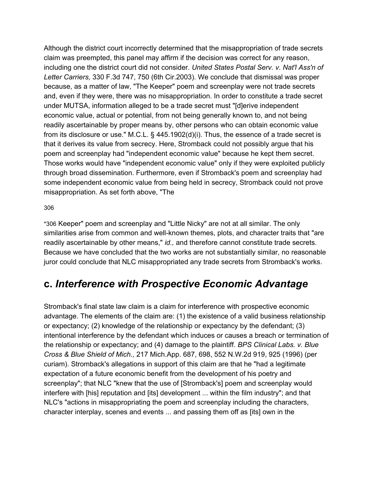Although the district court incorrectly determined that the misappropriation of trade secrets claim was preempted, this panel may affirm if the decision was correct for any reason, including one the district court did not consider. *United States Postal Serv. v. Nat'l Ass'n of Letter Carriers,* 330 F.3d 747, 750 (6th Cir.2003). We conclude that dismissal was proper because, as a matter of law, "The Keeper" poem and screenplay were not trade secrets and, even if they were, there was no misappropriation. In order to constitute a trade secret under MUTSA, information alleged to be a trade secret must "[d]erive independent economic value, actual or potential, from not being generally known to, and not being readily ascertainable by proper means by, other persons who can obtain economic value from its disclosure or use." M.C.L.  $\S$  445.1902(d)(i). Thus, the essence of a trade secret is that it derives its value from secrecy. Here, Stromback could not possibly argue that his poem and screenplay had "independent economic value" because he kept them secret. Those works would have "independent economic value" only if they were exploited publicly through broad dissemination. Furthermore, even if Stromback's poem and screenplay had some independent economic value from being held in secrecy, Stromback could not prove misappropriation. As set forth above, "The

#### 30[6](https://scholar.google.com/scholar_case?case=9947506304432034789&q=seven+new+line+cinema&hl=en&as_sdt=6,33#p306)

\*306 Keeper" poem and screenplay and "Little Nicky" are not at all similar. The only similarities arise from common and well-known themes, plots, and character traits that "are readily ascertainable by other means," *id.,* and therefore cannot constitute trade secrets. Because we have concluded that the two works are not substantially similar, no reasonable juror could conclude that NLC misappropriated any trade secrets from Stromback's works.

### **c.** *Interference with Prospective Economic Advantage*

Stromback's final state law claim is a claim for interference with prospective economic advantage. The elements of the claim are: (1) the existence of a valid business relationship or expectancy; (2) knowledge of the relationship or expectancy by the defendant; (3) intentional interference by the defendant which induces or causes a breach or termination of the relationship or expectancy; and (4) damage to the plaintiff. *BPS Clinical Labs. v. Blue Cross & Blue Shield of Mich.,* 217 Mich.App. 687, 698, 552 N.W.2d 919, 925 (1996) (per curiam). Stromback's allegations in support of this claim are that he "had a legitimate expectation of a future economic benefit from the development of his poetry and screenplay"; that NLC "knew that the use of [Stromback's] poem and screenplay would interfere with [his] reputation and [its] development ... within the film industry"; and that NLC's "actions in misappropriating the poem and screenplay including the characters, character interplay, scenes and events ... and passing them off as [its] own in the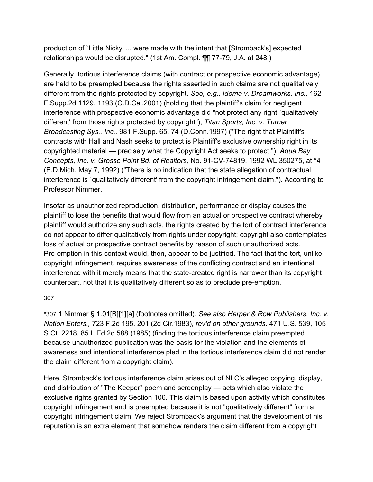production of `Little Nicky' ... were made with the intent that [Stromback's] expected relationships would be disrupted." (1st Am. Compl. ¶¶ 77-79, J.A. at 248.)

Generally, tortious interference claims (with contract or prospective economic advantage) are held to be preempted because the rights asserted in such claims are not qualitatively different from the rights protected by copyright. *See, e.g., Idema v. Dreamworks, Inc.,* 162 F.Supp.2d 1129, 1193 (C.D.Cal.2001) (holding that the plaintiff's claim for negligent interference with prospective economic advantage did "not protect any right `qualitatively different' from those rights protected by copyright"); *Titan Sports, Inc. v. Turner Broadcasting Sys., Inc.,* 981 F.Supp. 65, 74 (D.Conn.1997) ("The right that Plaintiff's contracts with Hall and Nash seeks to protect is Plaintiff's exclusive ownership right in its copyrighted material — precisely what the Copyright Act seeks to protect."); *Aqua Bay Concepts, Inc. v. Grosse Point Bd. of Realtors,* No. 91-CV-74819, 1992 WL 350275, at \*4 (E.D.Mich. May 7, 1992) ("There is no indication that the state allegation of contractual interference is `qualitatively different' from the copyright infringement claim."). According to Professor Nimmer,

Insofar as unauthorized reproduction, distribution, performance or display causes the plaintiff to lose the benefits that would flow from an actual or prospective contract whereby plaintiff would authorize any such acts, the rights created by the tort of contract interference do not appear to differ qualitatively from rights under copyright; copyright also contemplates loss of actual or prospective contract benefits by reason of such unauthorized acts. Pre-emption in this context would, then, appear to be justified. The fact that the tort, unlike copyright infringement, requires awareness of the conflicting contract and an intentional interference with it merely means that the state-created right is narrower than its copyright counterpart, not that it is qualitatively different so as to preclude pre-emption.

### 30[7](https://scholar.google.com/scholar_case?case=9947506304432034789&q=seven+new+line+cinema&hl=en&as_sdt=6,33#p307)

\*307 1 Nimmer § 1.01[B][1][a] (footnotes omitted). *See also Harper & Row Publishers, Inc. v. Nation Enters.,* 723 F.2d 195, 201 (2d Cir.1983), *rev'd on other grounds,* 471 U.S. 539, 105 S.Ct. 2218, 85 L.Ed.2d 588 (1985) (finding the tortious interference claim preempted because unauthorized publication was the basis for the violation and the elements of awareness and intentional interference pled in the tortious interference claim did not render the claim different from a copyright claim).

Here, Stromback's tortious interference claim arises out of NLC's alleged copying, display, and distribution of "The Keeper" poem and screenplay — acts which also violate the exclusive rights granted by Section 106. This claim is based upon activity which constitutes copyright infringement and is preempted because it is not "qualitatively different" from a copyright infringement claim. We reject Stromback's argument that the development of his reputation is an extra element that somehow renders the claim different from a copyright